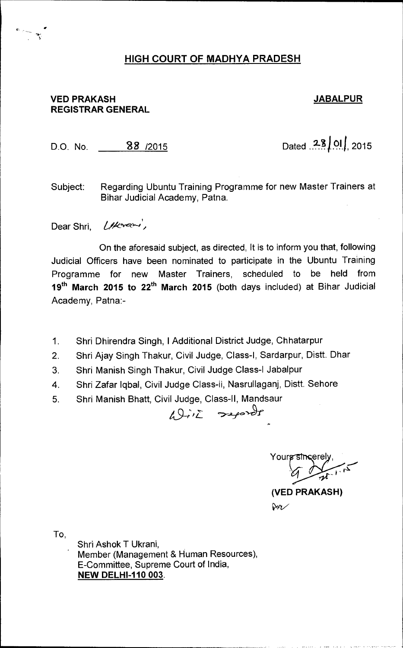## **HIGH COURT OF MADHYA PRADESH**

## **VED PRAKASH JABALPUR REGISTRAR GENERAL**

D.O. No. **28 2015 D.O.** No. **28 2015** 

Subject: Regarding Ubuntu Training Programme for new Master Trainers at Bihar Judicial Academy, Patna.

Dear Shri,  $l$ /korami,

On the aforesaid subject, as directed, It is to inform you that, following Judicial Officers have been nominated to participate in the Ubuntu Training Programme for new Master Trainers, scheduled to be held from 19<sup>th</sup> March 2015 to 22<sup>th</sup> March 2015 (both days included) at Bihar Judicial Academy, Patna:-

- 1. Shri Dhirendra Singh, I Additional District Judge, Chhatarpur
- 2. Shri Ajay Singh Thakur, Civil Judge, Class-I, Sardarpur, Distt. Dhar

19 *in reports* 

- 3. Shri Manish Singh Thakur, Civil Judge Class-I Jabalpur
- 4. Shri Zafar lqbal, Civil Judge Class-ii, Nasrullaganj, Distt. Sehore
- 5. Shri Manish Bhatt, Civil Judge, Class-II, Mandsaur

Yours sincerel •-••••"°

**(VED PRAKASH)**   $\aleph\sim$ 

To,

Shri Ashok T Ukrani, Member (Management & Human Resources), E-Committee, Supreme Court of India, **NEW DELHI-110 003.**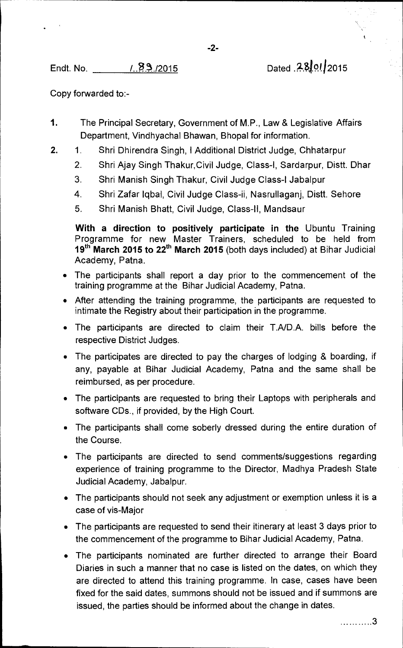Endt. No. 1.23./2015 Dated .28.01.2015

Copy forwarded to:-

- 1. The Principal Secretary, Government of M.P., Law & Legislative Affairs Department, Vindhyachal Bhawan, Bhopal for information.
- 2. 1. Shri Dhirendra Singh, I Additional District Judge, Chhatarpur
	- 2. Shri Ajay Singh Thakur,Civil Judge, Class-I, Sardarpur, Distt. Dhar
	- 3. Shri Manish Singh Thakur, Civil Judge Class-I Jabalpur
	- 4. Shri Zafar lqbal, Civil Judge Class-ii, Nasrullaganj, Distt. Sehore
	- 5. Shri Manish Bhatt, Civil Judge, Class-II, Mandsaur

**With a direction to positively participate in the** Ubuntu Training Programme for new Master Trainers, scheduled to be held from **19<sup>th</sup> March 2015 to 22<sup>th</sup> March 2015** (both days included) at Bihar Judicial Academy, Patna.

- The participants shall report a day prior to the commencement of the training programme at the Bihar Judicial Academy, Patna.
- After attending the training programme, the participants are requested to intimate the Registry about their participation in the programme.
- The participants are directed to claim their T.A/D.A. bills before the respective District Judges.
- The participates are directed to pay the charges of lodging & boarding, if any, payable at Bihar Judicial Academy, Patna and the same shall be reimbursed, as per procedure.
- The participants are requested to bring their Laptops with peripherals and software CDs., if provided, by the High Court.
- The participants shall come soberly dressed during the entire duration of the Course.
- The participants are directed to send comments/suggestions regarding experience of training programme to the Director, Madhya Pradesh State Judicial Academy, Jabalpur.
- The participants should not seek any adjustment or exemption unless it is a case of vis-Major
- The participants are requested to send their itinerary at least 3 days prior to the commencement of the programme to Bihar Judicial Academy, Patna.
- The participants nominated are further directed to arrange their Board Diaries in such a manner that no case is listed on the dates, on which they are directed to attend this training programme. In case, cases have been fixed for the said dates, summons should not be issued and if summons are issued, the parties should be informed about the change in dates.